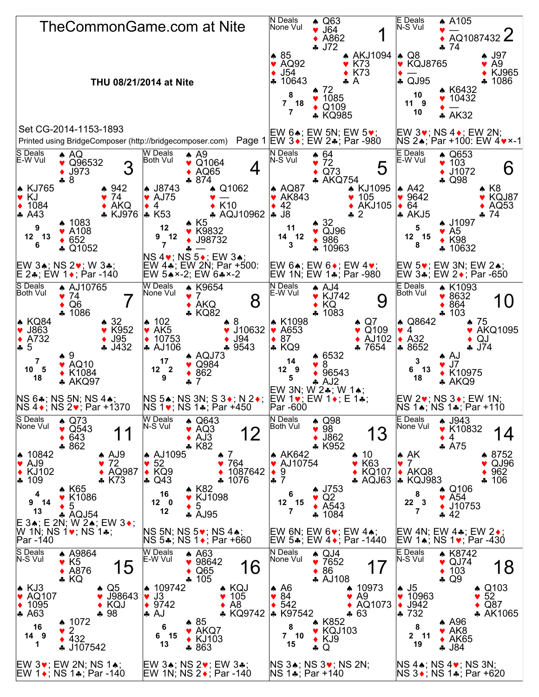